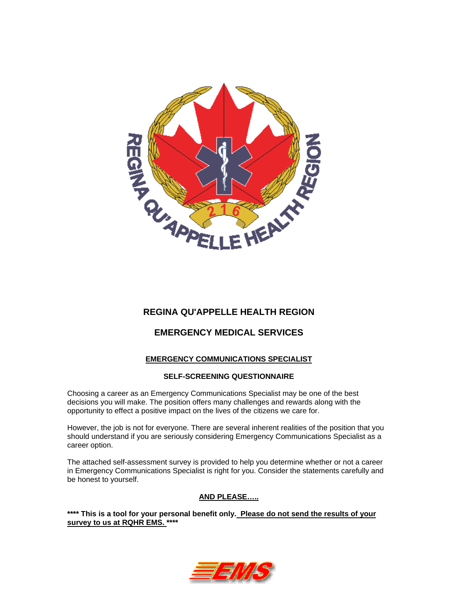

# **REGINA QU'APPELLE HEALTH REGION**

## **EMERGENCY MEDICAL SERVICES**

## **EMERGENCY COMMUNICATIONS SPECIALIST**

#### **SELF-SCREENING QUESTIONNAIRE**

Choosing a career as an Emergency Communications Specialist may be one of the best decisions you will make. The position offers many challenges and rewards along with the opportunity to effect a positive impact on the lives of the citizens we care for.

However, the job is not for everyone. There are several inherent realities of the position that you should understand if you are seriously considering Emergency Communications Specialist as a career option.

The attached self-assessment survey is provided to help you determine whether or not a career in Emergency Communications Specialist is right for you. Consider the statements carefully and be honest to yourself.

## **AND PLEASE…..**

**\*\*\*\* This is a tool for your personal benefit only. Please do not send the results of your survey to us at RQHR EMS. \*\*\*\*** 

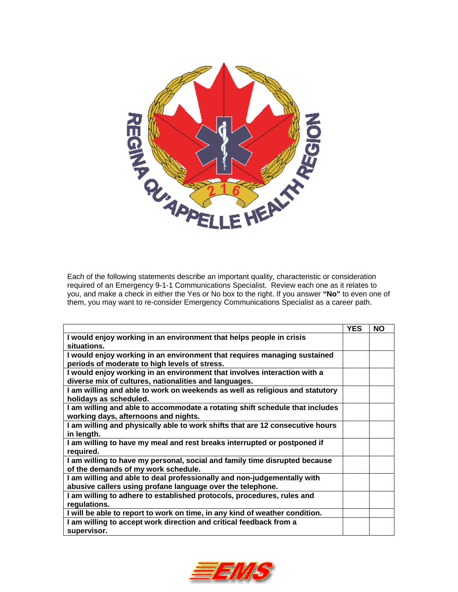

Each of the following statements describe an important quality, characteristic or consideration required of an Emergency 9-1-1 Communications Specialist. Review each one as it relates to you, and make a check in either the Yes or No box to the right. If you answer **"No"** to even one of them, you may want to re-consider Emergency Communications Specialist as a career path.

|                                                                                       | <b>YES</b> | <b>NO</b> |
|---------------------------------------------------------------------------------------|------------|-----------|
| I would enjoy working in an environment that helps people in crisis                   |            |           |
| situations.                                                                           |            |           |
| I would enjoy working in an environment that requires managing sustained              |            |           |
| periods of moderate to high levels of stress.                                         |            |           |
| I would enjoy working in an environment that involves interaction with a              |            |           |
| diverse mix of cultures, nationalities and languages.                                 |            |           |
| I am willing and able to work on weekends as well as religious and statutory          |            |           |
| holidays as scheduled.                                                                |            |           |
| I am willing and able to accommodate a rotating shift schedule that includes          |            |           |
| working days, afternoons and nights.                                                  |            |           |
| I am willing and physically able to work shifts that are 12 consecutive hours         |            |           |
| in length.                                                                            |            |           |
| I am willing to have my meal and rest breaks interrupted or postponed if<br>required. |            |           |
| I am willing to have my personal, social and family time disrupted because            |            |           |
| of the demands of my work schedule.                                                   |            |           |
| I am willing and able to deal professionally and non-judgementally with               |            |           |
| abusive callers using profane language over the telephone.                            |            |           |
| I am willing to adhere to established protocols, procedures, rules and                |            |           |
| regulations.                                                                          |            |           |
| I will be able to report to work on time, in any kind of weather condition.           |            |           |
| I am willing to accept work direction and critical feedback from a                    |            |           |
| supervisor.                                                                           |            |           |